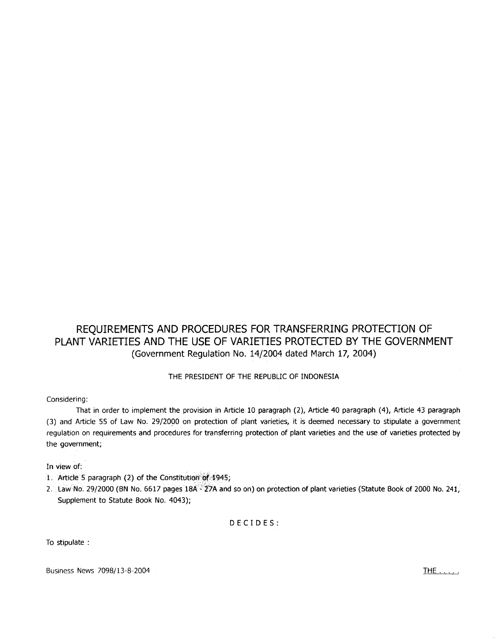# REQUIREMENTS AND PROCEDURES FOR TRANSFERRING PROTECTION OF PLANT VARIETIES AND THE USE OF VARIETIES PROTECTED BY THE GOVERNMENT (Government Regulation No. 14/2004 dated March 17, 2004)

THE PRESIDENT OF THE REPUBLIC OF INDONESIA

Considering:

That in order to implement the provision in Article 10 paragraph (2), Article 40 paragraph (4), Article 43 paragraph (3) and Article 55 of Law No. 29/2000 on protection of plant varieties, it is deemed necessary to stipulate a government regulation on requirements and procedures for transferring protection of plant varieties and the use of varieties protected by the government;

In view of:

- 1. Article 5 paragraph (2) of the Constitution of 1945;
- 2. Law No. 29/2000 (BN No. 6617 pages 18A<sup>2-</sup>27A and so on) on protection of plant varieties (Statute Book of 2000 No. 241, Supplement to Statute Book No. 4043);

DECIDES:

To stipulate :

Business News 7098/13-8-2004 **THE ......**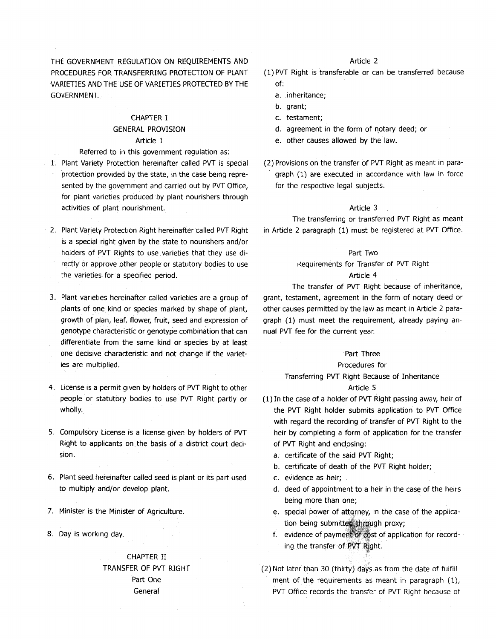THE GOVERNMENT REGULATION ON REQUIREMENTS AND PROCEDURES FOR TRANSFERRING PROTECTION OF PLANT VARIETIES AND THE USE OF VARIETIES PROTECTED BY THE GOVERNMENT.

# CHAPTER I GENERAL **PROVISION**

### Article 1

Referred to in this government regulation as:

- 1. Plant Variety Protection hereinafter called PVT is special protection provided by the state, in the case being represented by the government and carried out by PVT Office, for plant varieties produced by plant nourishers through activities of plant nourishment.
- 2. Plant Variety Protection Right hereinafter called PVT Right is a special right given by the state to nourishers and/or holders of PVT Rights to use. varieties that they use directly or approve other people or statutory bodies to use the varieties for a specified period.
- 3. Plant varieties hereinafter called varieties are a group of plants of one kind or species marked by shape of plant, growth of plan, leaf, flower, fruit, seed and expression of genotype characteristic or genotype combination that can differentiate from the same kind or species by at least one decisive characteristic and not change if the varieties are multiplied.
- 4. License is a permit given by holders of PVT Right to other people or statutory bodies to use PVT Right partly or wholly.
- 5. Compulsory License is a license given by holders of PVT Right to applicants on the basis of a district court decision.
- 6. Plant seed hereinafter called seed is plant or its part used to multiply and/or develop plant.
- 7. Minister is the Minister of Agriculture.
- 8. Day is working day.

# CHAPTER II TRANSFER OF PVT RIGHT Part One General

# Article 2

- ( 1) PVT Right is transferable or can be transferred because of:
	- a. inheritance;
	- b. grant;
	- c. testament;
	- d. agreement in the form of n\_otary deed; or
	- e. other causes allowed by the law.
- (2) Provisions on the transfer of PVT Right as meant in paragraph (1) are executed in accordance with law in force for the respective legal subjects.

#### Article 3

The transferring or transferred PVT Right as meant in Article 2 paragraph (1) must be registered at PVT Office.

#### Part Two

#### t{equirements for Transfer of PVT Right

# Article 4

The transfer of PVT Right because of inheritance, grant, testament, agreement in the form of notary deed or other causes permitted by the law as meant in Article 2 paragraph {l) must meet the requirement, already paying annual PVT fee for the current year.

#### Part Three

#### Procedures for

## Transferring PVT Right Because of Inheritance

# Article 5

(1) In the case of a holder of PVT Right passing away, heir of the PVT Right holder submits application to PVT Office with regard the recording of transfer of PVT Right to the heir by completing a form of application for the transfer of PVT Right and endosing:

- a. certificate of the said PVT Right;
- b. certificate of death of the PVT Right holder;
- c. evidence as heir;
- d. deed of appointment to a heir in the case of the heirs being more than one;
- e. special power of attorney, in the case of the application being submitted through proxy;
- f. evidence of payment of cost of application for recording the transfer of PVT Right.

(2) Not later than 30 (thirty) days as from the date of fulfillment of the requirements as meant in paragraph  $(1)$ , PVT Office records the transfer of PVT Right because of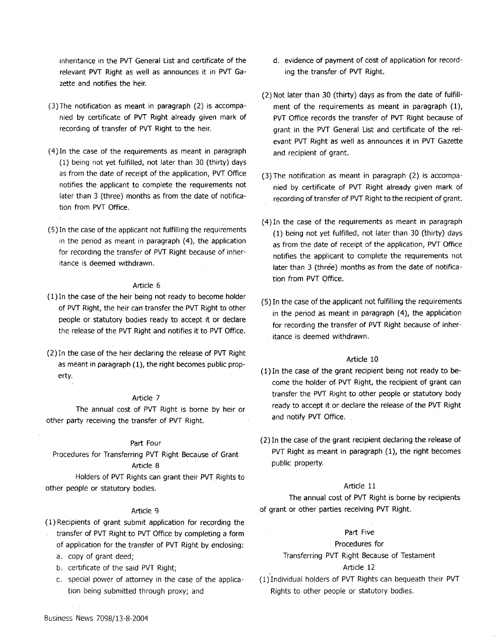inheritance in the PVT General List and certificate of the relevant PVT Right as well as announces it in PVT Gazette and notifies the heir.

- (3)The notification as meant in paragraph (2) is accompanied by certificate of PVT Right already given mark of recording of transfer of PVT Right to the heir.
- ( 4) In the case of the requirements as meant in paragraph (1) being not yet fulfilled, not later than 30 (thirty) days as from the date of receipt of the application, PVT Office notifies the applicant to complete the requirements not later than 3 (three) months as from the date of notification from PVT Office.
- ( 5) In the case of the applicant not fulfilling the requirements in the period as meant in paragraph (4), the application for recording the transfer of PVT Right because of inheritance is deemed withdrawn.

### Article 6

- ( 1) In the case of the heir being not ready to become holder of PVT Right, the heir can transfer the PVT Right to other people or statutory bodies ready to accept it or declare the release of the PVT Right and notifies it to PVT Office.
- (2) In the case of the heir declaring the release of PVT Right as meant in paragraph (1), the right becomes public property.

#### Article 7

The annual cost of PVT Right is borne by heir or other party receiving the transfer of PVT Right.

#### Part Four

Procedures for Transferring PVT Right Because of Grant Article 8

Holders of PVT Rights can grant their PVT Rights to other people or statutory bodies.

#### Article 9

- ( 1) Recipients of grant submit application for recording the transfer of PVT Right to PVT Office by completing a form
	- of application for the transfer of PVT Right by enclosing: a. copy of grant deed;
	- b, certificate of the said PVT Right;
	- c. special power of attorney in the case of the application being submitted through proxy; and
- d. evidence of payment of cost of application for recording the transfer of PVT Right.
- (2) Not later than 30 (thirty) days as from the date of fulfillment of the requirements as meant in paragraph  $(1)$ , PVT Office records the transfer of PVT Right because of grant in the PVT General list and certificate of the relevant PVT Right as well as announces it in PVT Gazette and recipient of grant.
- (3) The notification as meant in paragraph (2) is accompanied by certificate of PVT Right already given mark of recording of transfer of PVT Right to the recipient of grant.
- ( 4) In the case of the requirements as meant in paragraph ( 1) being not yet fulfilled, not later than 30 (thirty) days as from the date of receipt of the application, PVT Office notifies the applicant to complete the requirements not later than 3 (three) months as from the date of notification from PVT Office.
- (5) In the case of the applicant .not fulfilling the requirements in the period as meant in paragraph (4), the application for recording the transfer of PVT Right because of inheritance is deemed withdrawn.

#### Article 10

- ( 1) In the case of the grant recipient being not ready to become the holder of PVT Right, the recipient of grant can transfer the PVT Right to other people or statutory body ready to accept it or declare the release of the PVT Right and notify PVT Office.
- (2) In the case of the grant recipient declaring the release of PVT Right as meant in paragraph (1), the right becomes public property.

### Article 11

The annual cost of PVT Right is borne by recipients of grant or other parties receiving PVT Right.

### Part Five

### Procedures for

Transferring PVT Right Because of Testament

#### Article 12

( 1) Individual holders of PVT Rights can bequeath their PVT Rights to other people or statutory bodies.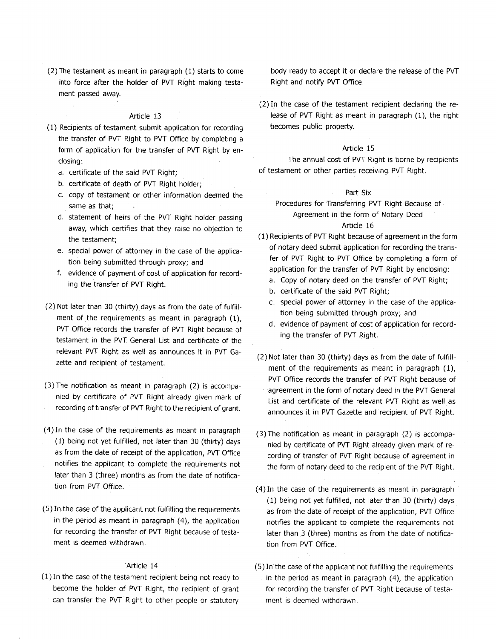(2) The testament as meant in paragraph (1) starts to come into force after the holder of PVT Right making testament passed away.

#### Article 13

- ( 1) Recipients of testament submit application for recording the transfer of PVT Right to PVT Office by completing a form of application for the transfer of PVT Right by enclosing:
	- a. certificate of the said PVT Right;
	- b. certificate of death of PVT Right holder;
	- c. copy of testament or other information deemed the same as that;
	- d. statement of heirs of the PVT Right holder passing away, which certifies that they raise no objection to the testament;
	- e. special power of attorney in the case of the application being submitted through proxy; and
	- f. evidence of payment of cost of application for recording the transfer of PVT Right.
- (2) Not later than 30 (thirty) days as from the date of fulfillment of the requirements as meant in paragraph (1), PVT Office records the transfer of PVT Right because of testament in the PVT. General List and certificate of the relevant PVT Right as well as announces it in PVT Gazette and recipient of testament.
- (3)The notification as meant in paragraph (2) is accompanied by certificate of PVT Right already given mark of recording of transfer of PVT Right to the recipient of grant.
- ( 4) In the case of the requirements as meant in paragraph ( 1) being not yet fulfilled, not later than 30 (thirty) days as from the date of receipt of the application, PVT Office notifies the applicant to complete the requirements not later than 3 (three) months as from the date of notification from PVT Office.
- (5) In the case of the applicant not fulfilling the requirements in the period as meant in paragraph (4), the application for recording the transfer of PVT Right because of testament is deemed withdrawn.

### Article 14

( 1) In the case of the testament recipient being not ready to become the holder of PVT Right, the recipient of grant can transfer the PVT Right to other people or statutory

body ready to accept it or declare the release of the PVT Right and notify PVT Office.

(2) In the case of the testament recipient declaring the release of PVT Right as meant in paragraph (1), the right becomes public property.

### Article 15

The annual cost of PVT Right is borne by recipients of testament or other parties receiving PVT Right.

#### Part Six

Procedures for Transferring PVT Right Because of Agreement in the form of Notary Deed

### Article 16

- (1) Recipients of PVT Right because of agreement in the form of notary deed submit application for recording the transfer of PVT Right to PVT Office by completing a form of application for the transfer of PVT Right by enclosing:
	- a. Copy of notary deed on the transfer of PVT Right;
	- b. certificate of the said PVT Right;
	- c. special power of attorney in the case of the application being submitted through proxy; and.
	- d. evidence of payment of cost of application for recording the transfer of PVT Right.
- (2) Not later than 30 (thirty) days as from the date of fulfillment of the requirements as meant in paragraph (1), PVT Office records the transfer of PVT Right because of agreement in the form of notary deed in the PVT General List and certificate of the relevant PVT Right as well as announces it in PVT Gazette and recipient of PVT Right.
- (3)The notification as meant in paragraph (2) is accompanied by certificate of PVT Right already given mark of recording of transfer of PVT Right because of agreement in the form of notary deed to the recipient of the PVT Right.
- ( 4) In the case of the requirements as meant in paragraph (1) being not yet fulfilled, not later than 30 (thirty) days as from the date of receipt of the application, PVT Office notifies the applicant to complete the requirements not later than 3 (three) months as from the date of notification from PVT Office.
- ( 5) In the case of the applicant not fulfilling the requirements in the period as meant in paragraph (4), the application for recording the transfer of PVT Right because of testament is deemed withdrawn.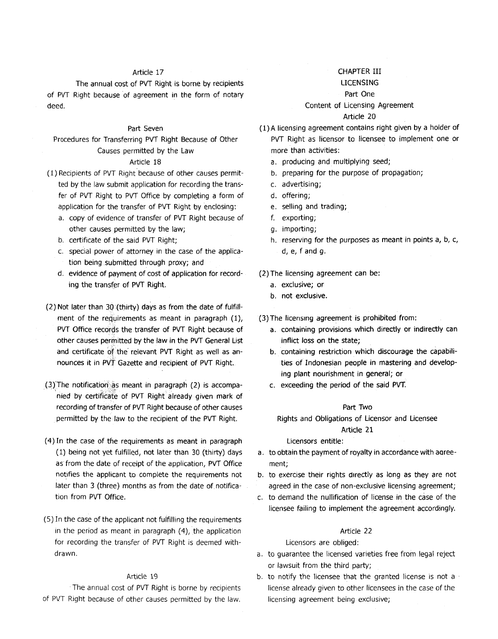# Article 17

The annual cost of PVT Right is borne by recipients of PVT Right because of agreement in the form of notary deed.

# Part Seven

Procedures for Transferring PVT Right Because of Other Causes permitted by the Law

# Article 18

- ( 1) Recipients of PVT Right because of other causes permitted by the law submit application for recording the transfer of PVT Right to PVT Office by completing a form of application for the transfer of PVT Right by enclosing:
	- a. copy of evidence of transfer of PVT Right because of other causes permitted by the law;
	- b. certificate of the said PVT Right;
	- c. special power of attorney in the case of the application being .submitted through proxy; and
	- d. evidence of payment of cost of application for recording the transfer of PVT Right.
- (2) Not later than 30 (thirty) days as from the date of fulfillment of the requirements as meant in paragraph (1), PVT Office records the transfer of PVT Right because of other causes permitted by the law in the PVT General List and certificate of the relevant PVT Right as well as announces it in PVT Gazette and recipient of PVT Right.
- $(3)$ The notification as meant in paragraph  $(2)$  is accompanied by certificate of PVT Right already given mark of recording of transfer of PVT Right because of other causes permitted by the law to the recipient of the PVT Right.
- ( 4) In the case of the requirements as meant in paragraph ( 1) being not yet fulfilled, not later than 30 (thirty) days as from the date of receipt of the application, PVT Office notifies the applicant to complete the requirements not later than 3 (three) months as from the date of notification from PVT Office.
- ( 5) In the case of the applicant not fulfilling the requirements in the period as meant in paragraph  $(4)$ , the application for recording the transfer of PVT Right is deemed withdrawn.

### Article 19

The annual cost of PVT Right is borne by recipients of PVT Right because of other causes permitted by the law.

# CHAPTER III

# LICENSING

# Part One

# Content of Licensing Agreement

#### Article 20

- (l)A licensing agreement contains right given by a holder of PVT Right as licensor to licensee to implement one or more than activities:
	- a. producing and multiplying seed;
	- b. preparing for the purpose of propagation;
	- c. advertising;
	- d. offering;
	- e. selling and trading;
	- f. exporting;
	- g. importing;
	- h. reserving for the purposes as meant in points a, b, c, d, e, f and g.

### (2) The licensing agreement can be:

- a. exclusive; or
- b. not exclusive.
- ( 3) The licensing agreement is prohibited from:
	- a. containing provisions which directly or indirectly can inflict loss on the state;
	- b. containing restriction which discourage the capabilities of Indonesian people in mastering and developing plant nourishment in general; or
	- c. exceeding the period of the said PVT.

#### Part Two

Rights and Obligations of Licensor and Licensee

## Article 21

#### Licensors entitle:

- a. to obtain the payment of royalty in accordance with aoreement;
- b. to exercise their rights directly as long as they are not agreed in the case of non-exclusive licensing agreement;
- c. to demand the nullification of license in the case of the licensee failing to implement the agreement accordingly.

#### Article 22

### Licensors are obliged:

- a. to guarantee the licensed varieties free from legal reject or lawsuit from the third party;
- b. to notify the licensee that the granted license is not a license already given to other licensees in the case of the licensing agreement being exclusive;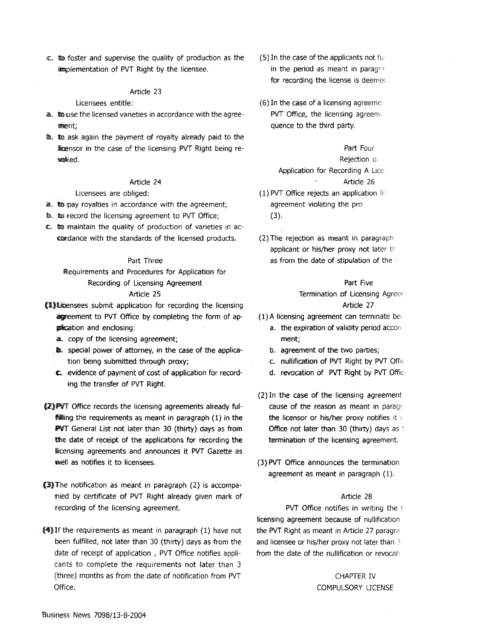$\mathbb{C}$ . to foster and supervise the quality of production as the implementation of PVT Right by the licensee.

### Article 23

Licensees entitle:

- a. to use the licensed varieties in accordance with the agree-11111lEnt;
- Ib. to ask again the payment of royalty already paid to the licensor in the case of the licensing PVT Right being rewolked.

#### Article 24

Licensees are obliged:

- a. the pay royalties in accordance with the agreement;
- to. to record the licensing agreement to PVT Office;
- c. to maintain the quality of production of varieties in accordance with the standards of the licensed products.

#### Part Three

!Requirements and Procedures for Application for Recording of Licensing Agreement

# Article 25

- fD.»lliioensees submit application for recording the licensing agreement to PVT Office by completing the form of apglication and enclosing:
	- a.. copy of the licensing agreement;
	- **b.** special power of attorney, in the case of the application being submitted through proxy;
	- c. evidence of payment of cost of application for recording the transfer of PVT Right.
- (2) PVT Office records the licensing agreements already fulffiiliing the requirements as meant in paragraph (1) in the PVT General List not later than 30 (thirty) days as from the date of receipt of the applications for recording the licensing agreements and announces it PVT Gazette as wwell as notifies it to licensees.
- $(3)$ The notification as meant in paragraph (2) is accompamied by certificate of PVT Right already given mark of recording of the licensing agreement.
- $(4)$  If the requirements as meant in paragraph (1) have not been fulfilled, not later than 30 (thirty) days as from the date of receipt of application , PVT Office notifies applicants to complete the requirements not later than 3 (three) months as from the date of notification from PVT Office.
- (5) In the case of the applicants not fu in the period as meant in paragrafor recording the license is deemed.
- $(6)$  In the case of a licensing agreemer PVT Office, the licensing agreem. quence to the third party.

# Part Four

#### Rejection o

Application for Recording A Lice Article 26

- (1) PVT Office rejects an application fr agreement violating the pro (3).
- (2) The rejection as meant in. paragraph applicant or his/her proxy not later the as from the date of stipulation of the

# Part Five Termination of Licensing Agreer Article 27

(1) A licensing agreement can terminate be;

- a. the expiration of validity period accond ment;
- b. agreement of the two parties;
- c. nullification of PVT Right by PVT Offic
- d. revocation of PVT Right by PVT Offic-
- (2) In the case of the licensing agreement cause of the reason as meant in parag, the licensor or his/her proxy notifies it Office not later than 30 (thirty) days as : termination of the licensing agreement.
- (3)PVT Office announces the termination agreement as meant in paragraph (1).

#### Article 28

PVT Office notifies in writing the t licensing agreement because of nullification the PVT Right as meant in Article 27 paragra and licensee or his/her proxy not later than  $\beta$ from the date of the nullification or revocat!

# CHAPTER IV COMPULSORY LICENSE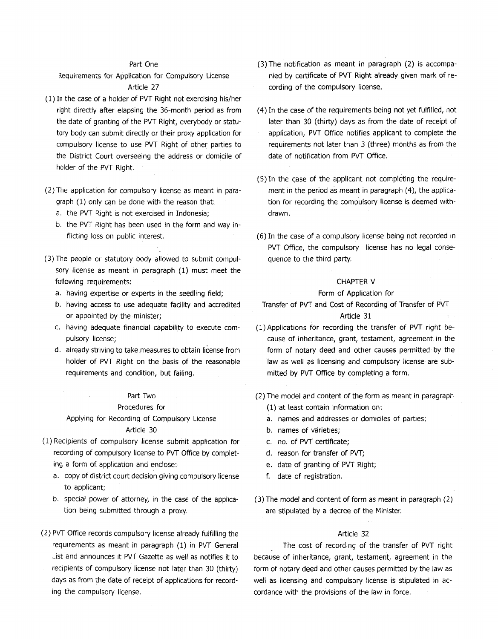#### Part One

Requirements for Application for Compulsory License Article 27

- ( 1) In the case of a holder of PVT Right not exercising his/her right directly after elapsing the 36-month period as from the date of granting of the PVT Right, everybody or statutory body can submit directly or their proxy application for compulsory license to use PVT Right of other parties to the District Court overseeing the address or domicile of holder of the PVT Right.
- (2) The application for compulsory license as meant in paragraph (1) only can be done with the reason that:
	- a. the PVT Right is not exercised in Indonesia;
	- b. the PVT Right has been used in the form and way inflicting loss on public interest.
- (3) The people or statutory body allowed to submit compulsory license as meant in paragraph (1) must meet the following requirements:
	- a. having expertise or experts in the seedling field;
	- b. having access to use adequate facility and accredited or appointed by the minister;
	- c. having adequate financial capability to execute compulsory license;
	- d. already striving to take measures to obtain license from holder of PVT Right on the basis of the reasonable requirements and condition, but failing.

#### Part Two

## Procedures for

Applying for Recording of Compulsory License Article 30

- (1) Recipients of compulsory license submit application for recording of compulsory license to PVT Office by completing a form of application and enclose:
	- a. copy of district court decision giving compulsory license to applicant;
	- b. special power of attorney, in the case of the application being submitted through a proxy.
- (2) PVT Office records compulsory license already fulfilling the requirements as meant in paragraph (1) in PVT General List and announces it PVT Gazette as well as notifies it to recipients of compulsory license not later than 30 (thirty) days as from the date of receipt of applications for recording the compulsory license.
- (3) The notification as meant in paragraph (2) is accompanied by certificate of PVT Right already given mark of recording of the compulsory license.
- ( 4) In the case of the requirements being not yet fulfilled, not later than 30 (thirty) days as from the date of receipt of application, PVT Office notifies applicant to complete the requirements not later than 3 (three) months as from the date of notification from PVT Office.
- (5) In the case of the applicant not completing the requirement in the period as meant in paragraph (4), the application for recording the compulsory license is deemed withdrawn.
- (6) In the case of a compulsory license being not recorded in PVT Office, the compulsory license has no legal consequence to the third party.

### CHAPTER V

#### Form of Application for

#### Transfer of PVT and Cost of Recording of Transfer of PVT

#### Article 31

- ( 1) Applications for recording the transfer of PVT right because of inheritance, grant, testament, agreement in the form of notary deed and other causes permitted by the law as well as licensing and compulsory license are submitted by PVT Office by completing a form.
- (2) The model and content of the form as meant in paragraph ( 1) at least contain information on:
	- a. names and addresses or domiciles of parties;
	- b. names of varieties;
	- c. no. of PVT certificate;
	- d. reason for transfer of PVT;
	- e. date of granting of PVT Right;
	- f. date of registration.
- (3) The model and content of form as meant in paragraph (2) are stipulated by a decree of the Minister.

## Article 32

The cost of recording of the transfer of PVT right because of inheritance, grant, testament, agreement in the form of notary deed and other causes permitted by the law as well as licensing and compulsory license is stipulated in accordance with the provisions of the law in force.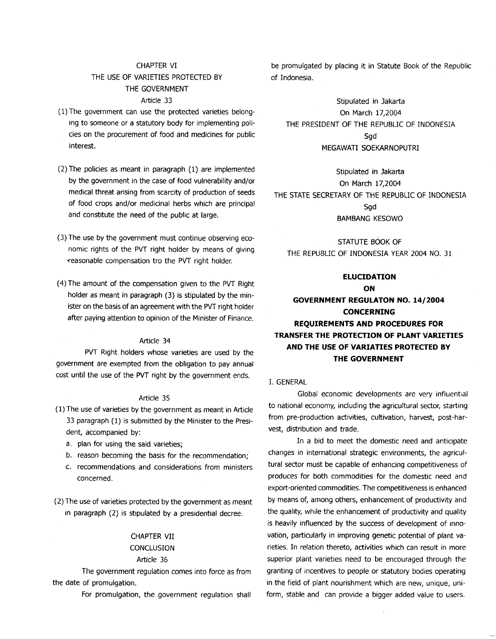# CHAPTER VI THE USE OF VARIETIES PROTECTED BY THE GOVERNMENT Article 33

- ( 1) The government can use the protected varieties belonging to someone or a statutory body for implementing policies on the procurement of food and medicines for public interest.
- (2) The policies as meant in paragraph (1) are implemented by the government in the case of food vulnerability and/or medical threat arising from scarcity of production of seeds of food crops and/or medicinal herbs which are principal and constitute the need of the public at large.
- (3) The use by the government must continue observing economic rights of the PVT right holder by means of giving -reasonable compensation tro the PVT right holder.
- ( 4) The amount of the compensation given to the PVT Right holder as meant in paragraph (3) is stipulated by the minister on the basis of an agreement with the PVT right holder after paying attention to opinion of the Minister of Finance.

#### Article 34

PVT Right holders whose varieties are used by the government are exempted from the obligation to pay annual cost until the use of the PVT right by the government ends.

#### Article 35

- ( 1) The use of varieties by the government as meant in Article 33 paragraph (1) is submitted by the Minister to the President, accompanied by:
	- a. plan for using the said varieties;
	- b. reason becoming the basis for the recommendation;
	- c. recommendations and considerations from ministers concerned.
- (2) The use of varieties protected by the government as meant in paragraph (2) is stipulated by a presidential decree.

# CHAPTER VII

# **CONCLUSION**

# Article 36

The government regulation comes into force as from the date of promulgation.

For promulgation, the .government regulation shall

be promulgated by placing it in Statute Book of the Republic of Indonesia.

Stipulated in Jakarta On March 17,2004 THE PRESIDENT OF THE REPUBLIC OF INDONESIA Sgd MEGAWATI SOEKARNOPUTRI

Stipulated in Jakarta On March 17,2004 THE STATE SECRETARY OF THE REPUBLIC OF INDONESIA Sgd BAMBANG KESOWO

STATUTE BOOK OF THE REPUBLIC OF INDONESIA YEAR 2004 NO. 31

# **ELUCIDATION ON GOVERNMENT REGULATON NO. 14/2004 CONCERNING REQUIREMENTS AND PROCEDURES FOR TRANSFER THE PROTECTION OF PLANT VARIETIES AND THE USE OF VARIATIES PROTECTED BY THE GOVERNMENT**

### I. GENERAL

Global economic developments are very influential to national economy, including the agricultural sector, starting from pre-production activities, cultivation, harvest, post-harvest, distribution and trade.

In a bid to meet the domestic need and anticipate changes in international strategic environments, the agricultural sector must be capable of enhancing competitiveness of produces for both commodities for the domestic need and export-oriented commodities. The competitiveness is enhanced by means of, among others, enhancement of productivity and the quality, while the enhancement of productivity and quality is heavily influenced by the success of development of innovation, particularly in improving genetic potential of plant varieties. In relation thereto, activities which can result in more superior plant varieties need to be encouraged through the granting of incentives to people or statutory bodies operating in the field of plant nourishment which are new, unique, uniform, stable and can provide a bigger added value to users.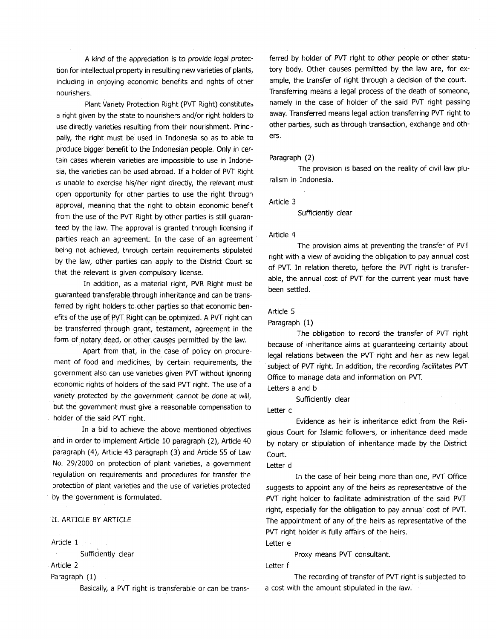A kind of the appreciation is to provide legal protection for intellectual property in resulting new varieties of plants, including in enjoying economic benefits and rights of other nourishers.

Plant Variety Protection Right (PVT Right) constitutes a right given by the state to nourishers and/or right holders to use directly varieties resulting from their nourishment. Principally, the right must be used in Indonesia so as to able to produce bigger benefit to the Indonesian people. Only in certain cases wherein varieties are impossible to use in Indonesia, the varieties can be used abroad. If a holder of PVT Right is unable to exercise his/her right directly, the relevant must open opportunity for other parties to use the right through approval, meaning that the right to obtain economic benefit from the use of the PVT Right by other parties is still guaranteed by the law. The approval is granted through licensing if parties reach an agreement. In the case of an agreement being not achieved, through certain requirements stipulated by the law, other parties can apply to the District Court so that the relevant is given compulsory license.

In addition, as a material right, PVR Right must be guaranteed transferable through inheritance and can be transferred by right holders to other parties so that economic benefits of the use of PVT Right can be optimized. A PVT right can be transferred through grant, testament, agreement in the form of notary deed, or other causes permitted by the law.

Apart from that, in the case of policy on procurement of food and medicines, by certain requirements, the government also can use varieties given PVT without ignoring economic rights of holders of the said PVT right. The use of a variety protected by the government cannot be done at will, but the government must give a reasonable compensation to holder of the said PVT right.

In a bid to achieve the above mentioned objectives and in order to implement Article 10 paragraph (2), Article 40 paragraph (4), Article 43 paragraph (3) and Article 55 of Law No. 29/2000 on protection of plant varieties, a government regulation on requirements and procedures for transfer the protection of plant varieties and the use of varieties protected by the government is formulated.

# II. ARTICLE BY ARTICLE

Article 1

Sufficiently clear

Article 2

Paragraph (1)

Basically, a PVT right is transferable or can be trans-

ferred by holder of PVT right to other people or other statutory body. Other causes permitted by the law are, for example, the transfer of right through a decision of the court. Transferring means a legal process of the death of someone, namely in the case of holder of the said PVT right passing away. Transferred means legal action transferring PVT right to other parties, such as through transaction, exchange and others.

#### Paragraph (2)

The provision is based on the reality of civil law pluralism in Indonesia.

Article 3

Sufficiently clear

#### Article 4

The provision aims at preventing the transfer of PVT right with a view of avoiding the obligation to pay annual cost of PVT. In relation thereto, before the PVT right is transferable, the annual cost of PVT for the current year must have been settled.

#### Article 5

Paragraph (1)

The obligation to record the transfer of PVT right because of inheritance aims at guaranteeing certainty about legal relations between the PVT right and heir as new legal subject of PVT right. In addition, the recording facilitates PVT Office to manage data and information on PVT.

Letters a and b

Sufficiently clear

Letter c

Evidence as heir is inheritance edict from the Religious Court for Islamic followers, or inheritance deed made by notary or stipulation of inheritance made by the District Court.

Letter d

In the case of heir being more than one, PVT Office suggests to appoint any of the heirs as representative of the PVT right holder to facilitate administration of the said PVT right, especially for the obligation to pay annual cost of PVT. The appointment of any of the heirs as representative of the PVT right holder is fully affairs of the heirs. Letter e

Proxy means PVT consultant.

Letter f

The recording of transfer of PVT right is subjected to a cost with the amount stipulated in the law.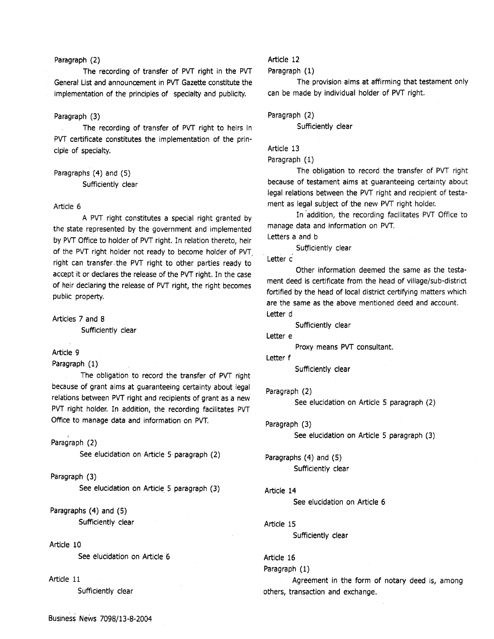### Paragraph (2)

The recording of transfer of PVT right in the PVT General List and announcement in PVT Gazette constitute the implementation of the principles of specialty and publicity.

## Paragraph (3)

The recording of transfer of PVT right to heirs in PVT certificate constitutes the implementation of the prin· ciple of specialty.

Paragraphs (4) and (5) Sufficiently clear

#### Article 6

A PVT right constitutes a special right granted by the state represented by the government and implemented by PVT Office to holder of PVT right. In relation thereto, heir of the PVT right holder not ready to become holder of PVT, right can transfer the PVT right to other parties ready to accept it or declares the release of the PVT right. In the case of heir declaring the release of PVT right, the right becomes public property.

Articles 7 and 8

Sufficiently clear

#### Article 9

Paragraph (1)

The obligation to record the transfer of PVT right because of grant aims at guaranteeing certainty about legal relations between PVT right and recipients of grant as a new PVT right holder. In addition, the recording facilitates PVT Office to manage data and information on PVT.

# Paragraph (2)

See elucidation on Article 5 paragraph (2)

Paragraph (3) See elucidation on Article 5 paragraph (3)

Paragraphs (4) and (5) Sufficiently clear

#### Article 10

See elucidation on Article 6

### Article 11

Sufficiently clear

# Article 12

Paragraph (1)

The provision aims at affirming that testament only can be made by individual holder of PVT right.

Paragraph (2)

Sufficiently clear

### Article 13

Paragraph (1)

The obligation to record the transfer of PVT right because of testament aims at guaranteeing certainty about legal relations between the PVT right and recipient of testament as legal subject of the new PVT right holder.

In addition, the recording facilitates PVT Office to manage data and information on PVT.

Letters a and b

Sufficiently clear

Letter c

Other information deemed the same as the testa· ment deed is certificate from the head of village/sub-district fortified by the head of local district certifying matters which are the same as the above mentioned deed and account. Letter d

Sufficiently clear

Letter e

Proxy means PVT consultant.

Letter f

```
Sufficiently clear
```
Paragraph (2)

See elucidation on Article 5 paragraph (2)

Paragraph (3) See elucidation on Article 5 paragraph (3)

Paragraphs (4) and (5) Sufficiently clear

Article 14 See elucidation on Article 6

Article 15

Sufficiently clear

Article 16 Paragraph (1)

Agreement in the form of notary deed is, among others, transaction and exchange.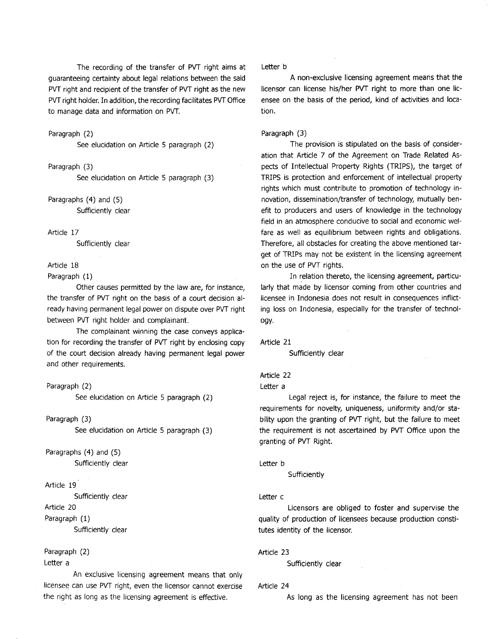The recording of the transfer of PVT right aims at guaranteeing certainty about legal relations between the said PVT right and recipient of the transfer of PVT right as the new PVT right holder. In addition, the recording facilitates PVT Office to manage data and information on PVT.

#### Paragraph (2)

See elucidation on Article 5 paragraph (2)

Paragraph (3)

See elucidation on Article 5 paragraph (3)

Paragraphs (4) and (5) Sufficiently clear

Article 17

Sufficiently clear

## Article 18

Paragraph (1)

Other causes permitted by the law are, for instance, the transfer of PVT right on the basis of a court decision already having permanent legal power on dispute over PVT right between PVT right holder and complainant.

The complainant winning the case conveys application for recording the transfer of PVT right by enclosing copy of the court decision already having permanent legal power and other requirements.

### Paragraph (2)

See elucidation on Article 5 paragraph (2)

Paragraph (3)

See elucidation on Article 5 paragraph (3)

Paragraphs (4) and (5) Sufficiently clear

### Article 19

Sufficiently clear

Article 20

Paragraph (1)

Sufficiently<sup>-</sup> clear

#### Paragraph (2)

Letter a

An exclusive licensing agreement means that only licensee can use PVT right, even the licensor cannot exercise the right as long as the licensing agreement is effective.

Letter b

A non-exclusive licensing agreement means that the licensor can license his/her PVT right to more than one licensee on the basis of the period, kind of activities and location.

### Paragraph (3)

The provision is stipulated on the basis of consideration that Article 7 of the Agreement on Trade Related Aspects of Intellectual Property Rights (TRIPS), the target of TRIPS is protection and enforcement of intellectual property rights which must contribute to promotion of technology innovation, dissemination/transfer of technology, mutually benefit to producers and users of knowledge in the technology field in an atmosphere conducive to social and economic welfare as well as equilibrium between rights and obligations. Therefore, all obstacles for creating the above mentioned target of TRIPs may not be existent in the licensing agreement on the use of PVT rights.

In relation thereto, the licensing agreement, particularly that made by licensor coming from other countries and licensee in Indonesia does not result in consequences inflicting loss on Indonesia, especially for the transfer of technology.

Article 21

Sufficiently clear

## Article 22

Letter a

Legal reject is, for instance, the failure to meet the requirements for novelty, uniqueness, uniformity and/or stability upon the granting of PVT right, but the failure to meet the requirement is not ascertained by PVT Office upon the granting of PVT Right.

Letter b

**Sufficiently** 

#### Letter c

Licensors are obliged to foster and supervise the quality of production of licensees because production constitutes identity of the licensor.

Article 23

Sufficiently clear

#### Article 24

As long as the licensing agreement has not been